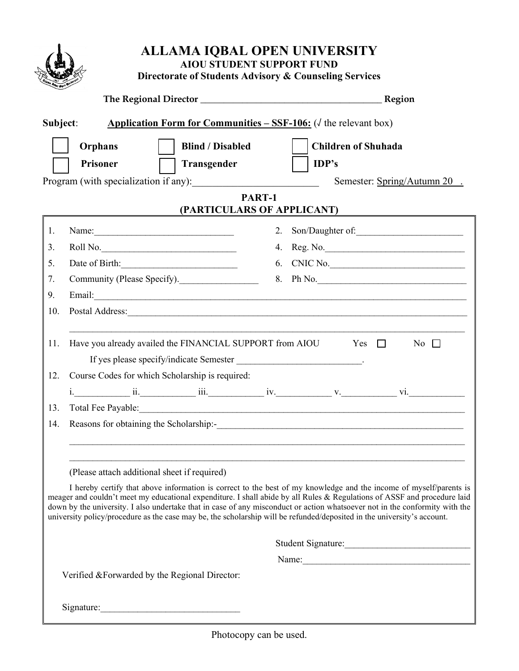|                          |                                                          | Region                                                                                                                                                                                                                                                                                                                                                                        |  |  |
|--------------------------|----------------------------------------------------------|-------------------------------------------------------------------------------------------------------------------------------------------------------------------------------------------------------------------------------------------------------------------------------------------------------------------------------------------------------------------------------|--|--|
|                          |                                                          |                                                                                                                                                                                                                                                                                                                                                                               |  |  |
|                          | Subject:                                                 | <b>Application Form for Communities – SSF-106:</b> ( $\sqrt{}$ the relevant box)                                                                                                                                                                                                                                                                                              |  |  |
|                          | <b>Orphans</b><br><b>Blind / Disabled</b>                | <b>Children of Shuhada</b>                                                                                                                                                                                                                                                                                                                                                    |  |  |
|                          | <b>Prisoner</b><br>Transgender                           | IDP's                                                                                                                                                                                                                                                                                                                                                                         |  |  |
|                          |                                                          | Semester: Spring/Autumn 20.                                                                                                                                                                                                                                                                                                                                                   |  |  |
|                          |                                                          | PART-1                                                                                                                                                                                                                                                                                                                                                                        |  |  |
|                          |                                                          | (PARTICULARS OF APPLICANT)                                                                                                                                                                                                                                                                                                                                                    |  |  |
| 1.                       | Name:                                                    | 2. Son/Daughter of:                                                                                                                                                                                                                                                                                                                                                           |  |  |
| 3.                       |                                                          | 4. Reg. No.                                                                                                                                                                                                                                                                                                                                                                   |  |  |
| 5.                       | Date of Birth:                                           | 6. CNIC No.                                                                                                                                                                                                                                                                                                                                                                   |  |  |
| 7.                       | Community (Please Specify).                              | 8. Ph No.                                                                                                                                                                                                                                                                                                                                                                     |  |  |
| 9.                       |                                                          |                                                                                                                                                                                                                                                                                                                                                                               |  |  |
| 10.                      |                                                          |                                                                                                                                                                                                                                                                                                                                                                               |  |  |
|                          |                                                          |                                                                                                                                                                                                                                                                                                                                                                               |  |  |
|                          |                                                          |                                                                                                                                                                                                                                                                                                                                                                               |  |  |
|                          | Have you already availed the FINANCIAL SUPPORT from AIOU | $Yes \Box$<br>No $\Box$                                                                                                                                                                                                                                                                                                                                                       |  |  |
|                          |                                                          |                                                                                                                                                                                                                                                                                                                                                                               |  |  |
|                          | Course Codes for which Scholarship is required:          |                                                                                                                                                                                                                                                                                                                                                                               |  |  |
|                          |                                                          |                                                                                                                                                                                                                                                                                                                                                                               |  |  |
|                          |                                                          | Total Fee Payable: 1998 and 2008 and 2008 and 2008 and 2008 and 2008 and 2008 and 2008 and 2008 and 2008 and 2008 and 2008 and 2008 and 2008 and 2008 and 2008 and 2008 and 2008 and 2008 and 2008 and 2008 and 2008 and 2008                                                                                                                                                 |  |  |
|                          | Reasons for obtaining the Scholarship:-                  |                                                                                                                                                                                                                                                                                                                                                                               |  |  |
|                          |                                                          |                                                                                                                                                                                                                                                                                                                                                                               |  |  |
|                          |                                                          |                                                                                                                                                                                                                                                                                                                                                                               |  |  |
|                          | (Please attach additional sheet if required)             |                                                                                                                                                                                                                                                                                                                                                                               |  |  |
|                          |                                                          |                                                                                                                                                                                                                                                                                                                                                                               |  |  |
|                          |                                                          |                                                                                                                                                                                                                                                                                                                                                                               |  |  |
|                          |                                                          | university policy/procedure as the case may be, the scholarship will be refunded/deposited in the university's account.                                                                                                                                                                                                                                                       |  |  |
|                          |                                                          | I hereby certify that above information is correct to the best of my knowledge and the income of myself/parents is<br>meager and couldn't meet my educational expenditure. I shall abide by all Rules & Regulations of ASSF and procedure laid<br>down by the university. I also undertake that in case of any misconduct or action whatsoever not in the conformity with the |  |  |
| 11.<br>12.<br>13.<br>14. |                                                          | Student Signature:<br>Name:                                                                                                                                                                                                                                                                                                                                                   |  |  |

Photocopy can be used.

I